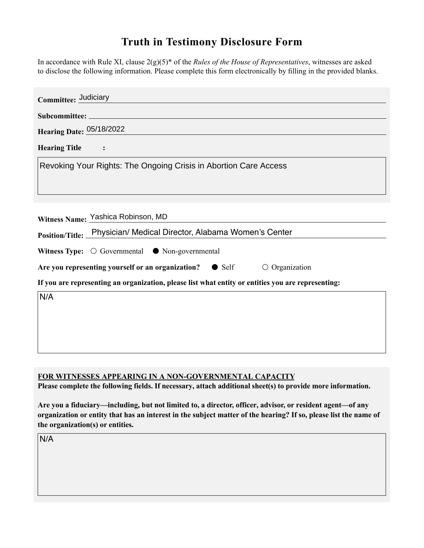## **Truth in Testimony Disclosure Form**

In accordance with Rule XI, clause 2(g)(5)\* of the *Rules of the House of Representatives*, witnesses are asked to disclose the following information. Please complete this form electronically by filling in the provided blanks.

| Committee: Judiciary                                                                                                                                                                                                                                        |
|-------------------------------------------------------------------------------------------------------------------------------------------------------------------------------------------------------------------------------------------------------------|
|                                                                                                                                                                                                                                                             |
| <b>Hearing Date: 05/18/2022</b>                                                                                                                                                                                                                             |
| <b>Hearing Title</b><br>$\sim$ $\sim$ $\sim$ $\sim$ $\sim$ $\sim$                                                                                                                                                                                           |
| Revoking Your Rights: The Ongoing Crisis in Abortion Care Access                                                                                                                                                                                            |
| Witness Name: Yashica Robinson, MD<br>Position/Title: Physician/ Medical Director, Alabama Women's Center                                                                                                                                                   |
| Witness Type: $\bigcirc$ Governmental $\bigcirc$ Non-governmental<br>Are you representing yourself or an organization? ● Self<br>$\circ$ Organization<br>If you are representing an organization, please list what entity or entities you are representing: |
| N/A                                                                                                                                                                                                                                                         |

## **FOR WITNESSES APPEARING IN A NON-GOVERNMENTAL CAPACITY**

**Please complete the following fields. If necessary, attach additional sheet(s) to provide more information.**

**Are you a fiduciary—including, but not limited to, a director, officer, advisor, or resident agent—of any organization or entity that has an interest in the subject matter of the hearing? If so, please list the name of the organization(s) or entities.**

N/A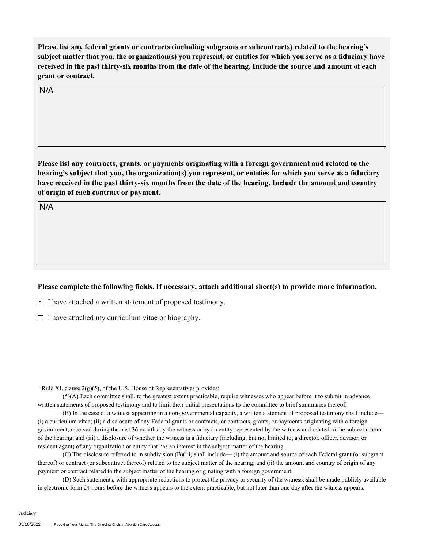**Please list any federal grants or contracts (including subgrants or subcontracts) related to the hearing's subject matter that you, the organization(s) you represent, or entities for which you serve as a fiduciary have received in the past thirty-six months from the date of the hearing. Include the source and amount of each grant or contract.** 

N/A

**Please list any contracts, grants, or payments originating with a foreign government and related to the hearing's subject that you, the organization(s) you represent, or entities for which you serve as a fiduciary have received in the past thirty-six months from the date of the hearing. Include the amount and country of origin of each contract or payment.** 

N/A

## **Please complete the following fields. If necessary, attach additional sheet(s) to provide more information.**

 $\exists$  I have attached a written statement of proposed testimony.

 $\Box$  I have attached my curriculum vitae or biography.

**\***Rule XI, clause 2(g)(5), of the U.S. House of Representatives provides:

(5)(A) Each committee shall, to the greatest extent practicable, require witnesses who appear before it to submit in advance written statements of proposed testimony and to limit their initial presentations to the committee to brief summaries thereof.

(B) In the case of a witness appearing in a non-governmental capacity, a written statement of proposed testimony shall include— (i) a curriculum vitae; (ii) a disclosure of any Federal grants or contracts, or contracts, grants, or payments originating with a foreign government, received during the past 36 months by the witness or by an entity represented by the witness and related to the subject matter of the hearing; and (iii) a disclosure of whether the witness is a fiduciary (including, but not limited to, a director, officer, advisor, or resident agent) of any organization or entity that has an interest in the subject matter of the hearing.

(C) The disclosure referred to in subdivision (B)(iii) shall include— (i) the amount and source of each Federal grant (or subgrant thereof) or contract (or subcontract thereof) related to the subject matter of the hearing; and (ii) the amount and country of origin of any payment or contract related to the subject matter of the hearing originating with a foreign government.

(D) Such statements, with appropriate redactions to protect the privacy or security of the witness, shall be made publicly available in electronic form 24 hours before the witness appears to the extent practicable, but not later than one day after the witness appears.